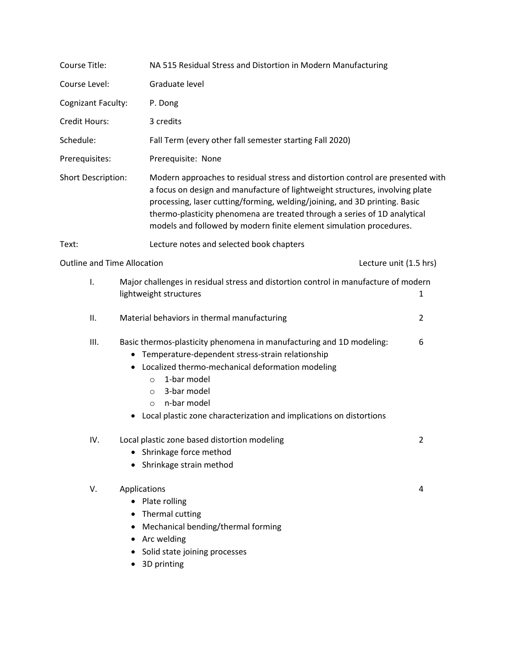| Course Title:                      | NA 515 Residual Stress and Distortion in Modern Manufacturing                                                                                                                                                                                                                                                                 |                                                                                                                                                                                                                                                                                                                                                                                                  |  |  |
|------------------------------------|-------------------------------------------------------------------------------------------------------------------------------------------------------------------------------------------------------------------------------------------------------------------------------------------------------------------------------|--------------------------------------------------------------------------------------------------------------------------------------------------------------------------------------------------------------------------------------------------------------------------------------------------------------------------------------------------------------------------------------------------|--|--|
| Course Level:                      | Graduate level                                                                                                                                                                                                                                                                                                                |                                                                                                                                                                                                                                                                                                                                                                                                  |  |  |
| Cognizant Faculty:                 | P. Dong                                                                                                                                                                                                                                                                                                                       |                                                                                                                                                                                                                                                                                                                                                                                                  |  |  |
| Credit Hours:                      | 3 credits                                                                                                                                                                                                                                                                                                                     |                                                                                                                                                                                                                                                                                                                                                                                                  |  |  |
| Schedule:                          | Fall Term (every other fall semester starting Fall 2020)                                                                                                                                                                                                                                                                      |                                                                                                                                                                                                                                                                                                                                                                                                  |  |  |
| Prerequisites:                     | Prerequisite: None                                                                                                                                                                                                                                                                                                            |                                                                                                                                                                                                                                                                                                                                                                                                  |  |  |
| Short Description:                 |                                                                                                                                                                                                                                                                                                                               | Modern approaches to residual stress and distortion control are presented with<br>a focus on design and manufacture of lightweight structures, involving plate<br>processing, laser cutting/forming, welding/joining, and 3D printing. Basic<br>thermo-plasticity phenomena are treated through a series of 1D analytical<br>models and followed by modern finite element simulation procedures. |  |  |
| Text:                              | Lecture notes and selected book chapters                                                                                                                                                                                                                                                                                      |                                                                                                                                                                                                                                                                                                                                                                                                  |  |  |
| <b>Outline and Time Allocation</b> |                                                                                                                                                                                                                                                                                                                               | Lecture unit (1.5 hrs)                                                                                                                                                                                                                                                                                                                                                                           |  |  |
| Ι.                                 | Major challenges in residual stress and distortion control in manufacture of modern<br>lightweight structures                                                                                                                                                                                                                 | 1                                                                                                                                                                                                                                                                                                                                                                                                |  |  |
| ΙΙ.                                | Material behaviors in thermal manufacturing                                                                                                                                                                                                                                                                                   | 2                                                                                                                                                                                                                                                                                                                                                                                                |  |  |
| III.                               | Basic thermos-plasticity phenomena in manufacturing and 1D modeling:<br>• Temperature-dependent stress-strain relationship<br>Localized thermo-mechanical deformation modeling<br>1-bar model<br>$\circ$<br>3-bar model<br>$\circ$<br>n-bar model<br>O<br>Local plastic zone characterization and implications on distortions | 6                                                                                                                                                                                                                                                                                                                                                                                                |  |  |
| IV.                                | Local plastic zone based distortion modeling<br>• Shrinkage force method<br>• Shrinkage strain method                                                                                                                                                                                                                         | 2                                                                                                                                                                                                                                                                                                                                                                                                |  |  |
| V.                                 | Applications<br>Plate rolling<br>Thermal cutting<br>Mechanical bending/thermal forming<br>Arc welding<br>٠<br>Solid state joining processes<br>3D printing<br>٠                                                                                                                                                               | 4                                                                                                                                                                                                                                                                                                                                                                                                |  |  |